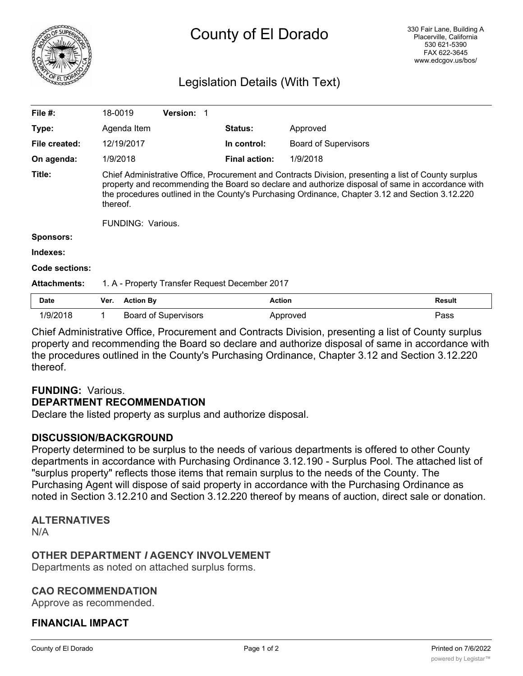

# County of El Dorado

# Legislation Details (With Text)

| File $#$ :          | 18-0019                                                                                                                                                                                                                                                                                                                                             | Version:                    |                      |                             |               |
|---------------------|-----------------------------------------------------------------------------------------------------------------------------------------------------------------------------------------------------------------------------------------------------------------------------------------------------------------------------------------------------|-----------------------------|----------------------|-----------------------------|---------------|
| Type:               | Agenda Item                                                                                                                                                                                                                                                                                                                                         |                             | <b>Status:</b>       | Approved                    |               |
| File created:       | 12/19/2017                                                                                                                                                                                                                                                                                                                                          |                             | In control:          | <b>Board of Supervisors</b> |               |
| On agenda:          | 1/9/2018                                                                                                                                                                                                                                                                                                                                            |                             | <b>Final action:</b> | 1/9/2018                    |               |
| Title:              | Chief Administrative Office, Procurement and Contracts Division, presenting a list of County surplus<br>property and recommending the Board so declare and authorize disposal of same in accordance with<br>the procedures outlined in the County's Purchasing Ordinance, Chapter 3.12 and Section 3.12.220<br>thereof.<br><b>FUNDING: Various.</b> |                             |                      |                             |               |
| <b>Sponsors:</b>    |                                                                                                                                                                                                                                                                                                                                                     |                             |                      |                             |               |
| Indexes:            |                                                                                                                                                                                                                                                                                                                                                     |                             |                      |                             |               |
| Code sections:      |                                                                                                                                                                                                                                                                                                                                                     |                             |                      |                             |               |
| <b>Attachments:</b> | 1. A - Property Transfer Request December 2017                                                                                                                                                                                                                                                                                                      |                             |                      |                             |               |
| <b>Date</b>         | <b>Action By</b><br>Ver.                                                                                                                                                                                                                                                                                                                            |                             | <b>Action</b>        |                             | <b>Result</b> |
| 1/9/2018            |                                                                                                                                                                                                                                                                                                                                                     | <b>Board of Supervisors</b> |                      | Approved                    | Pass          |

Chief Administrative Office, Procurement and Contracts Division, presenting a list of County surplus property and recommending the Board so declare and authorize disposal of same in accordance with the procedures outlined in the County's Purchasing Ordinance, Chapter 3.12 and Section 3.12.220 thereof.

#### **FUNDING:** Various. **DEPARTMENT RECOMMENDATION**

Declare the listed property as surplus and authorize disposal.

## **DISCUSSION/BACKGROUND**

Property determined to be surplus to the needs of various departments is offered to other County departments in accordance with Purchasing Ordinance 3.12.190 - Surplus Pool. The attached list of "surplus property" reflects those items that remain surplus to the needs of the County. The Purchasing Agent will dispose of said property in accordance with the Purchasing Ordinance as noted in Section 3.12.210 and Section 3.12.220 thereof by means of auction, direct sale or donation.

#### **ALTERNATIVES**

N/A

## **OTHER DEPARTMENT** *I* **AGENCY INVOLVEMENT**

Departments as noted on attached surplus forms.

#### **CAO RECOMMENDATION**

Approve as recommended.

## **FINANCIAL IMPACT**